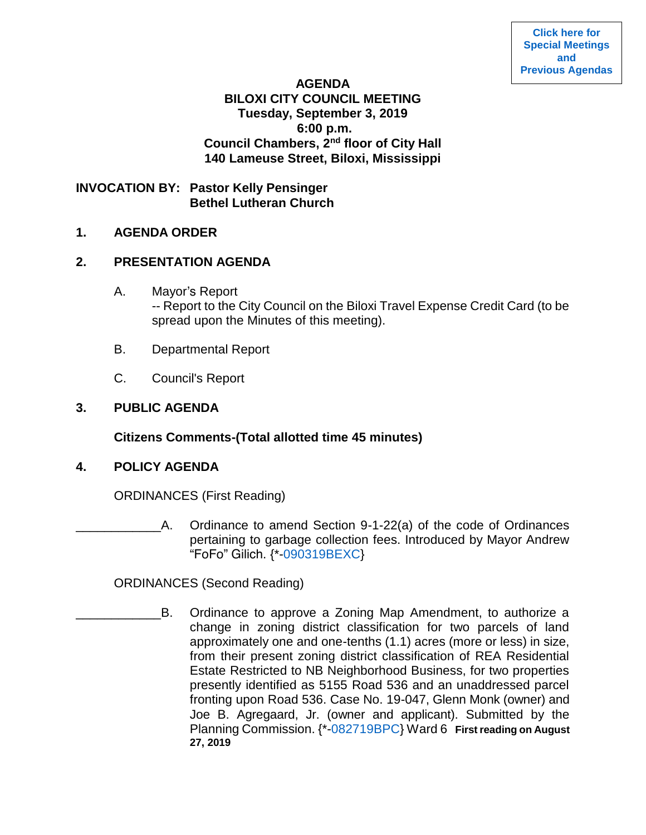#### **AGENDA**

### **BILOXI CITY COUNCIL MEETING Tuesday, September 3, 2019 6:00 p.m. Council Chambers, 2nd floor of City Hall 140 Lameuse Street, Biloxi, Mississippi**

**INVOCATION BY: Pastor Kelly Pensinger Bethel Lutheran Church**

#### **1. AGENDA ORDER**

#### **2. PRESENTATION AGENDA**

- A. Mayor's Report -- Report to the City Council on the Biloxi Travel Expense Credit Card (to be spread upon the Minutes of this meeting).
- B. Departmental Report
- C. Council's Report

### **3. PUBLIC AGENDA**

**Citizens Comments-(Total allotted time 45 minutes)**

### **4. POLICY AGENDA**

ORDINANCES (First Reading)

\_\_\_\_\_\_\_\_\_\_\_\_A. Ordinance to amend Section 9-1-22(a) of the code of Ordinances pertaining to garbage collection fees. Introduced by Mayor Andrew "FoFo" Gilich. {\*[-090319BEXC}](https://www.biloxi.ms.us/agendas/citycouncil/2019/090319/090319bexc.pdf)

ORDINANCES (Second Reading)

B. Ordinance to approve a Zoning Map Amendment, to authorize a change in zoning district classification for two parcels of land approximately one and one-tenths (1.1) acres (more or less) in size, from their present zoning district classification of REA Residential Estate Restricted to NB Neighborhood Business, for two properties presently identified as 5155 Road 536 and an unaddressed parcel fronting upon Road 536. Case No. 19-047, Glenn Monk (owner) and Joe B. Agregaard, Jr. (owner and applicant). Submitted by the Planning Commission. {\*[-082719BPC}](https://www.biloxi.ms.us/agendas/citycouncil/2019/090319/082719bpc.pdf) Ward 6 **First reading on August 27, 2019**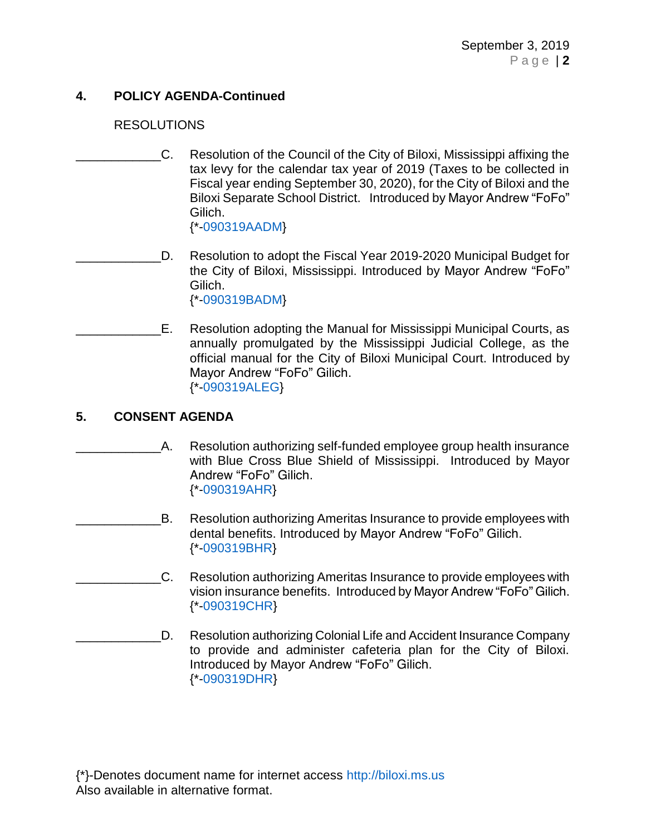# **4. POLICY AGENDA-Continued**

### RESOLUTIONS

\_\_\_\_\_\_\_\_\_\_\_\_C. Resolution of the Council of the City of Biloxi, Mississippi affixing the tax levy for the calendar tax year of 2019 (Taxes to be collected in Fiscal year ending September 30, 2020), for the City of Biloxi and the Biloxi Separate School District. Introduced by Mayor Andrew "FoFo" Gilich.

{\*[-090319AADM}](https://www.biloxi.ms.us/agendas/citycouncil/2019/090319/090319aadm.pdf)

D. Resolution to adopt the Fiscal Year 2019-2020 Municipal Budget for the City of Biloxi, Mississippi. Introduced by Mayor Andrew "FoFo" Gilich. {\*[-090319BADM}](https://www.biloxi.ms.us/agendas/citycouncil/2019/090319/090319badm2.pdf)

E. Resolution adopting the Manual for Mississippi Municipal Courts, as annually promulgated by the Mississippi Judicial College, as the official manual for the City of Biloxi Municipal Court. Introduced by Mayor Andrew "FoFo" Gilich. {\*[-090319ALEG}](https://www.biloxi.ms.us/agendas/citycouncil/2019/090319/090319aleg.pdf)

# **5. CONSENT AGENDA**

- A. Resolution authorizing self-funded employee group health insurance with Blue Cross Blue Shield of Mississippi. Introduced by Mayor Andrew "FoFo" Gilich. {\*[-090319AHR}](https://www.biloxi.ms.us/agendas/citycouncil/2019/090319/090319ahr.pdf)
- \_\_\_\_\_\_\_\_\_\_\_\_B. Resolution authorizing Ameritas Insurance to provide employees with dental benefits. Introduced by Mayor Andrew "FoFo" Gilich. {\*[-090319BHR}](https://www.biloxi.ms.us/agendas/citycouncil/2019/090319/090319bhr.pdf)
- \_\_\_\_\_\_\_\_\_\_\_\_C. Resolution authorizing Ameritas Insurance to provide employees with vision insurance benefits. Introduced by Mayor Andrew "FoFo" Gilich. {\*[-090319CHR}](https://www.biloxi.ms.us/agendas/citycouncil/2019/090319/090319chr.pdf)
- \_\_\_\_\_\_\_\_\_\_\_\_D. Resolution authorizing Colonial Life and Accident Insurance Company to provide and administer cafeteria plan for the City of Biloxi. Introduced by Mayor Andrew "FoFo" Gilich. {\*[-090319DHR}](https://www.biloxi.ms.us/agendas/citycouncil/2019/090319/090319dhr.pdf)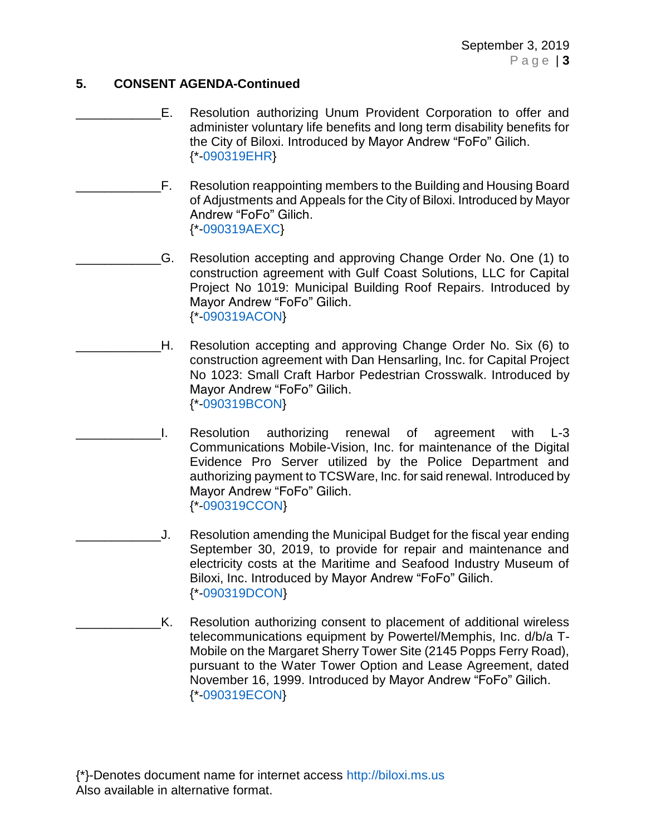### **5. CONSENT AGENDA-Continued**

- E. Resolution authorizing Unum Provident Corporation to offer and administer voluntary life benefits and long term disability benefits for the City of Biloxi. Introduced by Mayor Andrew "FoFo" Gilich. {\*[-090319EHR}](https://www.biloxi.ms.us/agendas/citycouncil/2019/090319/090319ehr.pdf)
- \_\_\_\_\_\_\_\_\_\_\_\_F. Resolution reappointing members to the Building and Housing Board of Adjustments and Appeals for the City of Biloxi. Introduced by Mayor Andrew "FoFo" Gilich. {\*[-090319AEXC}](https://www.biloxi.ms.us/agendas/citycouncil/2019/090319/090319aexc.pdf)
- \_\_\_\_\_\_\_\_\_\_\_\_G. Resolution accepting and approving Change Order No. One (1) to construction agreement with Gulf Coast Solutions, LLC for Capital Project No 1019: Municipal Building Roof Repairs. Introduced by Mayor Andrew "FoFo" Gilich. {\*[-090319ACON}](https://www.biloxi.ms.us/agendas/citycouncil/2019/090319/090319acon.pdf)
- \_\_\_\_\_\_\_\_\_\_\_\_H. Resolution accepting and approving Change Order No. Six (6) to construction agreement with Dan Hensarling, Inc. for Capital Project No 1023: Small Craft Harbor Pedestrian Crosswalk. Introduced by Mayor Andrew "FoFo" Gilich. {\*[-090319BCON}](https://www.biloxi.ms.us/agendas/citycouncil/2019/090319/090319bcon.pdf)
- \_\_\_\_\_\_\_\_\_\_\_\_I. Resolution authorizing renewal of agreement with L-3 Communications Mobile-Vision, Inc. for maintenance of the Digital Evidence Pro Server utilized by the Police Department and authorizing payment to TCSWare, Inc. for said renewal. Introduced by Mayor Andrew "FoFo" Gilich. {\*[-090319CCON}](https://www.biloxi.ms.us/agendas/citycouncil/2019/090319/090319ccon.pdf)
	- J. Resolution amending the Municipal Budget for the fiscal year ending September 30, 2019, to provide for repair and maintenance and electricity costs at the Maritime and Seafood Industry Museum of Biloxi, Inc. Introduced by Mayor Andrew "FoFo" Gilich. {\*[-090319DCON}](https://www.biloxi.ms.us/agendas/citycouncil/2019/090319/090319dcon.pdf)
- K. Resolution authorizing consent to placement of additional wireless telecommunications equipment by Powertel/Memphis, Inc. d/b/a T-Mobile on the Margaret Sherry Tower Site (2145 Popps Ferry Road), pursuant to the Water Tower Option and Lease Agreement, dated November 16, 1999. Introduced by Mayor Andrew "FoFo" Gilich. {\*[-090319ECON}](https://www.biloxi.ms.us/agendas/citycouncil/2019/090319/090319econ.pdf)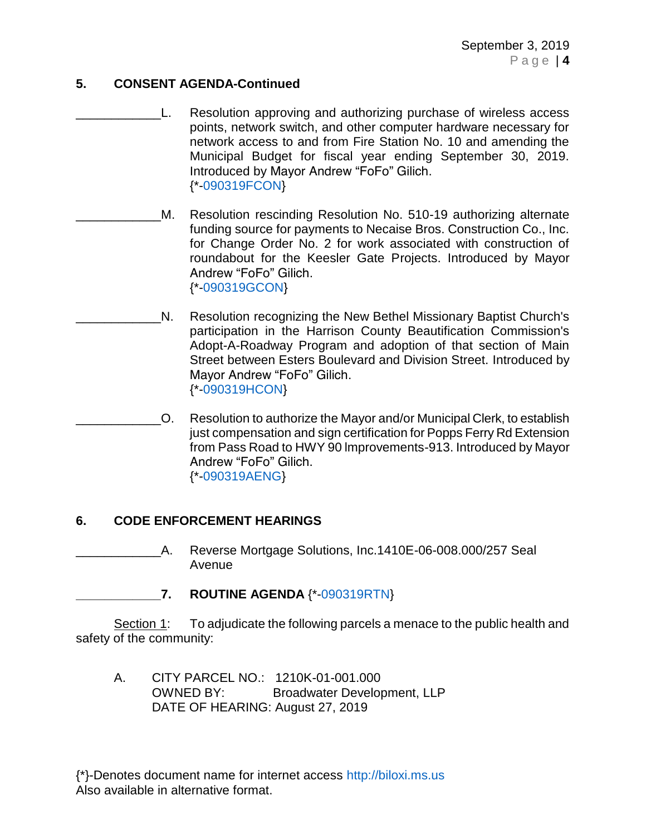### **5. CONSENT AGENDA-Continued**

- L. Resolution approving and authorizing purchase of wireless access points, network switch, and other computer hardware necessary for network access to and from Fire Station No. 10 and amending the Municipal Budget for fiscal year ending September 30, 2019. Introduced by Mayor Andrew "FoFo" Gilich. {\*[-090319FCON}](https://www.biloxi.ms.us/agendas/citycouncil/2019/090319/090319fcon.pdf)
- M. Resolution rescinding Resolution No. 510-19 authorizing alternate funding source for payments to Necaise Bros. Construction Co., Inc. for Change Order No. 2 for work associated with construction of roundabout for the Keesler Gate Projects. Introduced by Mayor Andrew "FoFo" Gilich. {\*[-090319GCON}](https://www.biloxi.ms.us/agendas/citycouncil/2019/090319/090319gcon.pdf)
- N. Resolution recognizing the New Bethel Missionary Baptist Church's participation in the Harrison County Beautification Commission's Adopt-A-Roadway Program and adoption of that section of Main Street between Esters Boulevard and Division Street. Introduced by Mayor Andrew "FoFo" Gilich. {\*[-090319HCON}](https://www.biloxi.ms.us/agendas/citycouncil/2019/090319/090319hcon.pdf)
- \_\_\_\_\_\_\_\_\_\_\_\_O. Resolution to authorize the Mayor and/or Municipal Clerk, to establish just compensation and sign certification for Popps Ferry Rd Extension from Pass Road to HWY 90 lmprovements-913. Introduced by Mayor Andrew "FoFo" Gilich. {\*[-090319AENG}](https://www.biloxi.ms.us/agendas/citycouncil/2019/090319/090319aeng.pdf)

# **6. CODE ENFORCEMENT HEARINGS**

A. Reverse Mortgage Solutions, Inc.1410E-06-008.000/257 Seal Avenue

# **\_\_\_\_\_\_\_\_\_\_\_\_7. ROUTINE AGENDA** {\*[-090319RTN}](https://www.biloxi.ms.us/agendas/citycouncil/2019/090319/090319rtn1.pdf)

Section 1: To adjudicate the following parcels a menace to the public health and safety of the community:

A. CITY PARCEL NO.: 1210K-01-001.000 OWNED BY: Broadwater Development, LLP DATE OF HEARING: August 27, 2019

{\*}-Denotes document name for internet access [http://biloxi.ms.us](http://biloxi.ms.us/) Also available in alternative format.